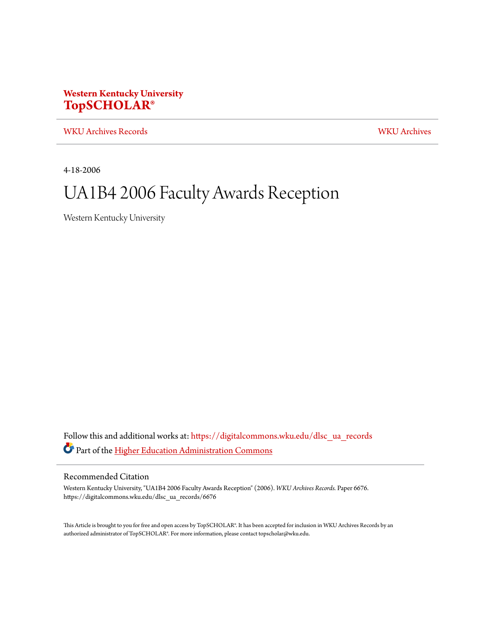#### **Western Kentucky University [TopSCHOLAR®](https://digitalcommons.wku.edu?utm_source=digitalcommons.wku.edu%2Fdlsc_ua_records%2F6676&utm_medium=PDF&utm_campaign=PDFCoverPages)**

[WKU Archives Records](https://digitalcommons.wku.edu/dlsc_ua_records?utm_source=digitalcommons.wku.edu%2Fdlsc_ua_records%2F6676&utm_medium=PDF&utm_campaign=PDFCoverPages) [WKU Archives](https://digitalcommons.wku.edu/dlsc_ua?utm_source=digitalcommons.wku.edu%2Fdlsc_ua_records%2F6676&utm_medium=PDF&utm_campaign=PDFCoverPages)

4-18-2006

## UA1B4 2006 Faculty Awards Reception

Western Kentucky University

Follow this and additional works at: [https://digitalcommons.wku.edu/dlsc\\_ua\\_records](https://digitalcommons.wku.edu/dlsc_ua_records?utm_source=digitalcommons.wku.edu%2Fdlsc_ua_records%2F6676&utm_medium=PDF&utm_campaign=PDFCoverPages) Part of the [Higher Education Administration Commons](http://network.bepress.com/hgg/discipline/791?utm_source=digitalcommons.wku.edu%2Fdlsc_ua_records%2F6676&utm_medium=PDF&utm_campaign=PDFCoverPages)

#### Recommended Citation

Western Kentucky University, "UA1B4 2006 Faculty Awards Reception" (2006). *WKU Archives Records.* Paper 6676. https://digitalcommons.wku.edu/dlsc\_ua\_records/6676

This Article is brought to you for free and open access by TopSCHOLAR®. It has been accepted for inclusion in WKU Archives Records by an authorized administrator of TopSCHOLAR®. For more information, please contact topscholar@wku.edu.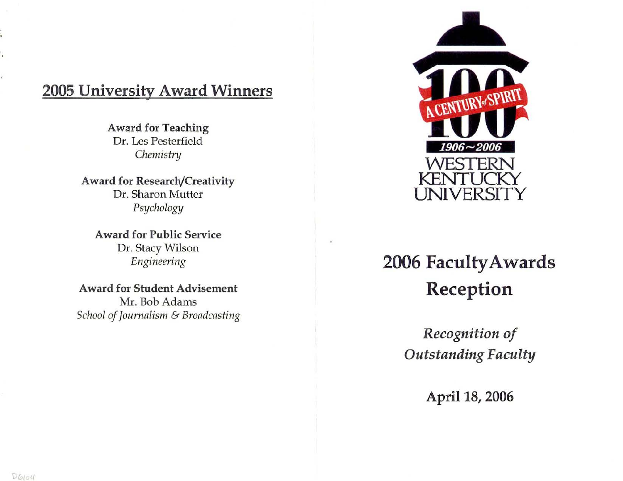### **2005 University Award Winners**

Award for Teaching Dr. Les Pesterfield *ChemistnJ* 

Award for Research/Creativity Dr. Sharon Mutter *PsychologJJ* 

Award for Public Service Dr. Stacy Wilson *Engineering* 

Award for Student Advisement Mr. Bob Adams *School ofJournalism* & *Broadcasting* 



# **2006 Faculty Awards Reception**

*Recognition of Outstanding Faculty* 

April 18, 2006